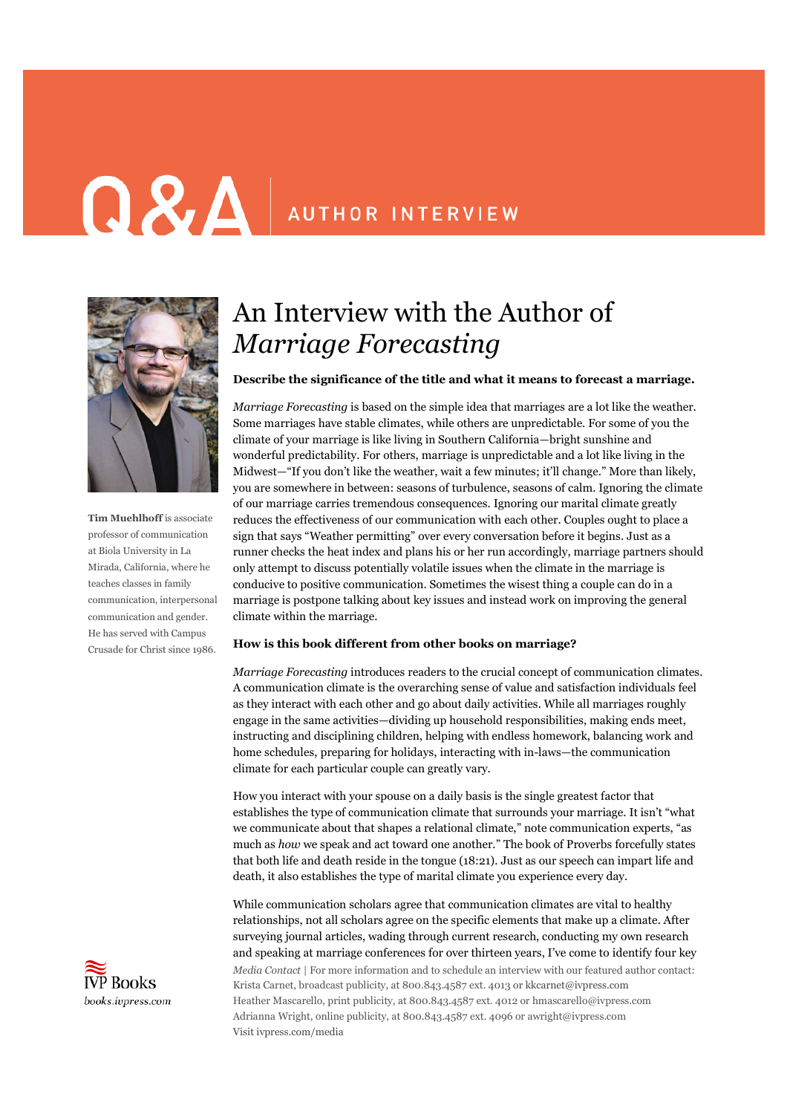# **Q & A** AUTHOR INTERVIEW



**Tim Muehlhoff** is associate professor of communication at Biola University in La Mirada, California, where he teaches classes in family communication, interpersonal communication and gender. He has served with Campus Crusade for Christ since 1986.



### An Interview with the Author of *Marriage Forecasting*

#### **Describe the significance of the title and what it means to forecast a marriage.**

*Marriage Forecasting* is based on the simple idea that marriages are a lot like the weather. Some marriages have stable climates, while others are unpredictable. For some of you the climate of your marriage is like living in Southern California—bright sunshine and wonderful predictability. For others, marriage is unpredictable and a lot like living in the Midwest—"If you don't like the weather, wait a few minutes; it'll change." More than likely, you are somewhere in between: seasons of turbulence, seasons of calm. Ignoring the climate of our marriage carries tremendous consequences. Ignoring our marital climate greatly reduces the effectiveness of our communication with each other. Couples ought to place a sign that says "Weather permitting" over every conversation before it begins. Just as a runner checks the heat index and plans his or her run accordingly, marriage partners should only attempt to discuss potentially volatile issues when the climate in the marriage is conducive to positive communication. Sometimes the wisest thing a couple can do in a marriage is postpone talking about key issues and instead work on improving the general climate within the marriage.

#### **How is this book different from other books on marriage?**

*Marriage Forecasting* introduces readers to the crucial concept of communication climates. A communication climate is the overarching sense of value and satisfaction individuals feel as they interact with each other and go about daily activities. While all marriages roughly engage in the same activities—dividing up household responsibilities, making ends meet, instructing and disciplining children, helping with endless homework, balancing work and home schedules, preparing for holidays, interacting with in-laws—the communication climate for each particular couple can greatly vary.

How you interact with your spouse on a daily basis is the single greatest factor that establishes the type of communication climate that surrounds your marriage. It isn't "what we communicate about that shapes a relational climate," note communication experts, "as much as *how* we speak and act toward one another." The book of Proverbs forcefully states that both life and death reside in the tongue (18:21). Just as our speech can impart life and death, it also establishes the type of marital climate you experience every day.

*Media Contact* | For more information and to schedule an interview with our featured author contact: Krista Carnet, broadcast publicity, at 800.843.4587 ext. 4013 or kkcarnet@ivpress.com Heather Mascarello, print publicity, at 800.843.4587 ext. 4012 or hmascarello@ivpress.com Adrianna Wright, online publicity, at 800.843.4587 ext. 4096 or awright@ivpress.com Visit ivpress.com/media While communication scholars agree that communication climates are vital to healthy relationships, not all scholars agree on the specific elements that make up a climate. After surveying journal articles, wading through current research, conducting my own research and speaking at marriage conferences for over thirteen years, I've come to identify four key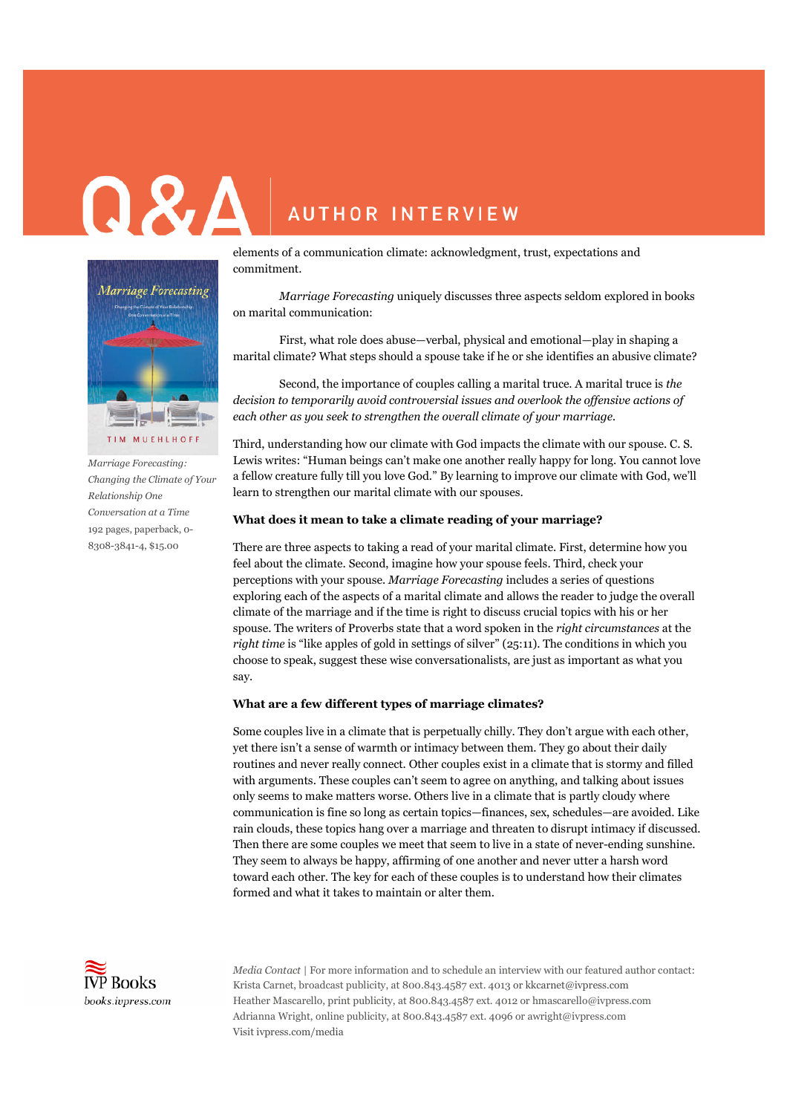## $\bf \Omega \, \bf \Sigma \, \Delta$ **AUTHOR INTERVIEW**



*Marriage Forecasting: Changing the Climate of Your Relationship One Conversation at a Time* 192 pages, paperback, 0- 8308-3841-4, \$15.00

elements of a communication climate: acknowledgment, trust, expectations and commitment.

*Marriage Forecasting* uniquely discusses three aspects seldom explored in books on marital communication:

First, what role does abuse—verbal, physical and emotional—play in shaping a marital climate? What steps should a spouse take if he or she identifies an abusive climate?

Second, the importance of couples calling a marital truce. A marital truce is *the decision to temporarily avoid controversial issues and overlook the offensive actions of each other as you seek to strengthen the overall climate of your marriage.*

Third, understanding how our climate with God impacts the climate with our spouse. C. S. Lewis writes: "Human beings can't make one another really happy for long. You cannot love a fellow creature fully till you love God." By learning to improve our climate with God, we'll learn to strengthen our marital climate with our spouses.

#### **What does it mean to take a climate reading of your marriage?**

There are three aspects to taking a read of your marital climate. First, determine how you feel about the climate. Second, imagine how your spouse feels. Third, check your perceptions with your spouse. *Marriage Forecasting* includes a series of questions exploring each of the aspects of a marital climate and allows the reader to judge the overall climate of the marriage and if the time is right to discuss crucial topics with his or her spouse. The writers of Proverbs state that a word spoken in the *right circumstances* at the *right time* is "like apples of gold in settings of silver" (25:11). The conditions in which you choose to speak, suggest these wise conversationalists, are just as important as what you say.

#### **What are a few different types of marriage climates?**

Some couples live in a climate that is perpetually chilly. They don't argue with each other, yet there isn't a sense of warmth or intimacy between them. They go about their daily routines and never really connect. Other couples exist in a climate that is stormy and filled with arguments. These couples can't seem to agree on anything, and talking about issues only seems to make matters worse. Others live in a climate that is partly cloudy where communication is fine so long as certain topics—finances, sex, schedules—are avoided. Like rain clouds, these topics hang over a marriage and threaten to disrupt intimacy if discussed. Then there are some couples we meet that seem to live in a state of never-ending sunshine. They seem to always be happy, affirming of one another and never utter a harsh word toward each other. The key for each of these couples is to understand how their climates formed and what it takes to maintain or alter them.



*Media Contact* | For more information and to schedule an interview with our featured author contact: Krista Carnet, broadcast publicity, at 800.843.4587 ext. 4013 or kkcarnet@ivpress.com Heather Mascarello, print publicity, at 800.843.4587 ext. 4012 or hmascarello@ivpress.com Adrianna Wright, online publicity, at 800.843.4587 ext. 4096 or awright@ivpress.com Visit ivpress.com/media